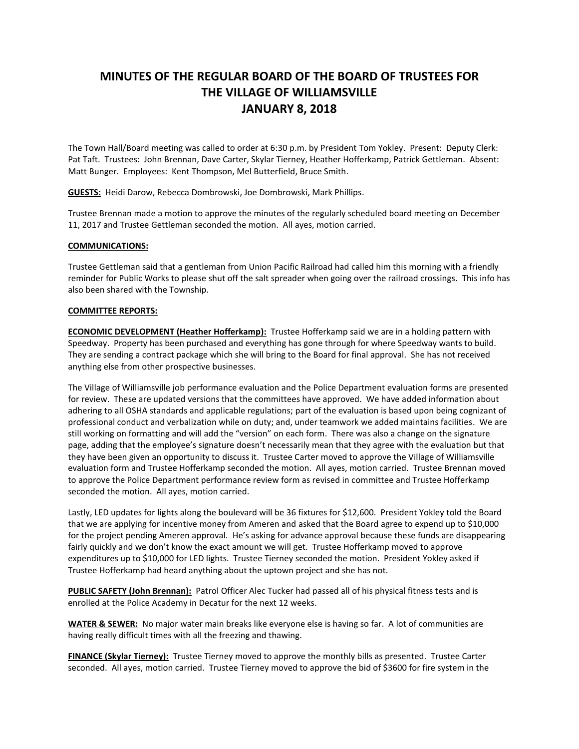## **MINUTES OF THE REGULAR BOARD OF THE BOARD OF TRUSTEES FOR THE VILLAGE OF WILLIAMSVILLE JANUARY 8, 2018**

The Town Hall/Board meeting was called to order at 6:30 p.m. by President Tom Yokley. Present: Deputy Clerk: Pat Taft. Trustees: John Brennan, Dave Carter, Skylar Tierney, Heather Hofferkamp, Patrick Gettleman. Absent: Matt Bunger. Employees: Kent Thompson, Mel Butterfield, Bruce Smith.

**GUESTS:** Heidi Darow, Rebecca Dombrowski, Joe Dombrowski, Mark Phillips.

Trustee Brennan made a motion to approve the minutes of the regularly scheduled board meeting on December 11, 2017 and Trustee Gettleman seconded the motion. All ayes, motion carried.

## **COMMUNICATIONS:**

Trustee Gettleman said that a gentleman from Union Pacific Railroad had called him this morning with a friendly reminder for Public Works to please shut off the salt spreader when going over the railroad crossings. This info has also been shared with the Township.

## **COMMITTEE REPORTS:**

**ECONOMIC DEVELOPMENT (Heather Hofferkamp):** Trustee Hofferkamp said we are in a holding pattern with Speedway. Property has been purchased and everything has gone through for where Speedway wants to build. They are sending a contract package which she will bring to the Board for final approval. She has not received anything else from other prospective businesses.

The Village of Williamsville job performance evaluation and the Police Department evaluation forms are presented for review. These are updated versions that the committees have approved. We have added information about adhering to all OSHA standards and applicable regulations; part of the evaluation is based upon being cognizant of professional conduct and verbalization while on duty; and, under teamwork we added maintains facilities. We are still working on formatting and will add the "version" on each form. There was also a change on the signature page, adding that the employee's signature doesn't necessarily mean that they agree with the evaluation but that they have been given an opportunity to discuss it. Trustee Carter moved to approve the Village of Williamsville evaluation form and Trustee Hofferkamp seconded the motion. All ayes, motion carried. Trustee Brennan moved to approve the Police Department performance review form as revised in committee and Trustee Hofferkamp seconded the motion. All ayes, motion carried.

Lastly, LED updates for lights along the boulevard will be 36 fixtures for \$12,600. President Yokley told the Board that we are applying for incentive money from Ameren and asked that the Board agree to expend up to \$10,000 for the project pending Ameren approval. He's asking for advance approval because these funds are disappearing fairly quickly and we don't know the exact amount we will get. Trustee Hofferkamp moved to approve expenditures up to \$10,000 for LED lights. Trustee Tierney seconded the motion. President Yokley asked if Trustee Hofferkamp had heard anything about the uptown project and she has not.

**PUBLIC SAFETY (John Brennan):** Patrol Officer Alec Tucker had passed all of his physical fitness tests and is enrolled at the Police Academy in Decatur for the next 12 weeks.

**WATER & SEWER:** No major water main breaks like everyone else is having so far. A lot of communities are having really difficult times with all the freezing and thawing.

**FINANCE (Skylar Tierney):** Trustee Tierney moved to approve the monthly bills as presented. Trustee Carter seconded. All ayes, motion carried. Trustee Tierney moved to approve the bid of \$3600 for fire system in the